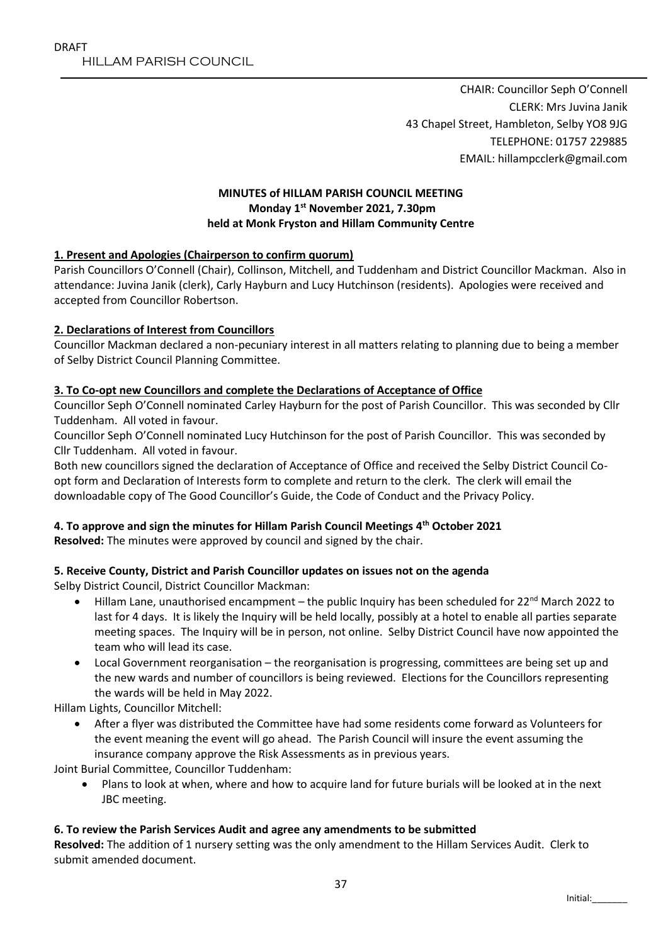CHAIR: Councillor Seph O'Connell CLERK: Mrs Juvina Janik 43 Chapel Street, Hambleton, Selby YO8 9JG TELEPHONE: 01757 229885 EMAIL: hillampcclerk@gmail.com

## **MINUTES of HILLAM PARISH COUNCIL MEETING Monday 1 st November 2021, 7.30pm held at Monk Fryston and Hillam Community Centre**

## **1. Present and Apologies (Chairperson to confirm quorum)**

Parish Councillors O'Connell (Chair), Collinson, Mitchell, and Tuddenham and District Councillor Mackman. Also in attendance: Juvina Janik (clerk), Carly Hayburn and Lucy Hutchinson (residents). Apologies were received and accepted from Councillor Robertson.

## **2. Declarations of Interest from Councillors**

Councillor Mackman declared a non-pecuniary interest in all matters relating to planning due to being a member of Selby District Council Planning Committee.

## **3. To Co-opt new Councillors and complete the Declarations of Acceptance of Office**

Councillor Seph O'Connell nominated Carley Hayburn for the post of Parish Councillor. This was seconded by Cllr Tuddenham. All voted in favour.

Councillor Seph O'Connell nominated Lucy Hutchinson for the post of Parish Councillor. This was seconded by Cllr Tuddenham. All voted in favour.

Both new councillors signed the declaration of Acceptance of Office and received the Selby District Council Coopt form and Declaration of Interests form to complete and return to the clerk. The clerk will email the downloadable copy of The Good Councillor's Guide, the Code of Conduct and the Privacy Policy.

# **4. To approve and sign the minutes for Hillam Parish Council Meetings 4 th October 2021**

**Resolved:** The minutes were approved by council and signed by the chair.

## **5. Receive County, District and Parish Councillor updates on issues not on the agenda**

Selby District Council, District Councillor Mackman:

- Hillam Lane, unauthorised encampment the public Inquiry has been scheduled for 22<sup>nd</sup> March 2022 to last for 4 days. It is likely the Inquiry will be held locally, possibly at a hotel to enable all parties separate meeting spaces. The Inquiry will be in person, not online. Selby District Council have now appointed the team who will lead its case.
- Local Government reorganisation the reorganisation is progressing, committees are being set up and the new wards and number of councillors is being reviewed. Elections for the Councillors representing the wards will be held in May 2022.

Hillam Lights, Councillor Mitchell:

 After a flyer was distributed the Committee have had some residents come forward as Volunteers for the event meaning the event will go ahead. The Parish Council will insure the event assuming the insurance company approve the Risk Assessments as in previous years.

Joint Burial Committee, Councillor Tuddenham:

 Plans to look at when, where and how to acquire land for future burials will be looked at in the next JBC meeting.

## **6. To review the Parish Services Audit and agree any amendments to be submitted**

**Resolved:** The addition of 1 nursery setting was the only amendment to the Hillam Services Audit. Clerk to submit amended document.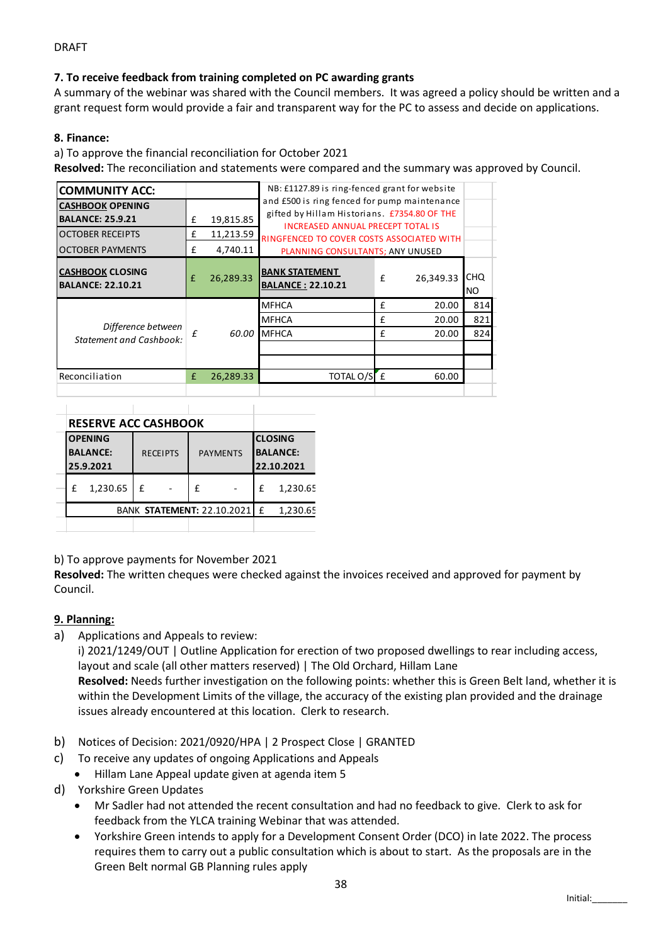### DRAFT

## **7. To receive feedback from training completed on PC awarding grants**

A summary of the webinar was shared with the Council members. It was agreed a policy should be written and a grant request form would provide a fair and transparent way for the PC to assess and decide on applications.

#### **8. Finance:**

a) To approve the financial reconciliation for October 2021

**Resolved:** The reconciliation and statements were compared and the summary was approved by Council.

| <b>COMMUNITY ACC:</b>                                                                                                                                                                                                                                                                                                            |                 |                            |                                                   |                                          |   | NB: £1127.89 is ring-fenced grant for website                                                |     |                                                                                                                                                                                                                                                                                                                                       |
|----------------------------------------------------------------------------------------------------------------------------------------------------------------------------------------------------------------------------------------------------------------------------------------------------------------------------------|-----------------|----------------------------|---------------------------------------------------|------------------------------------------|---|----------------------------------------------------------------------------------------------|-----|---------------------------------------------------------------------------------------------------------------------------------------------------------------------------------------------------------------------------------------------------------------------------------------------------------------------------------------|
| <b>CASHBOOK OPENING</b>                                                                                                                                                                                                                                                                                                          |                 |                            |                                                   |                                          |   | and £500 is ring fenced for pump maintenance<br>gifted by Hillam Historians. £7354.80 OF THE |     |                                                                                                                                                                                                                                                                                                                                       |
| <b>BALANCE: 25.9.21</b>                                                                                                                                                                                                                                                                                                          |                 | 19,815.85<br>£             |                                                   | <b>INCREASED ANNUAL PRECEPT TOTAL IS</b> |   |                                                                                              |     |                                                                                                                                                                                                                                                                                                                                       |
| <b>OCTOBER RECEIPTS</b>                                                                                                                                                                                                                                                                                                          |                 | £<br>11,213.59             |                                                   |                                          |   | RINGFENCED TO COVER COSTS ASSOCIATED WITH                                                    |     |                                                                                                                                                                                                                                                                                                                                       |
| <b>OCTOBER PAYMENTS</b>                                                                                                                                                                                                                                                                                                          |                 | £<br>4,740.11              |                                                   | PLANNING CONSULTANTS; ANY UNUSED         |   |                                                                                              |     |                                                                                                                                                                                                                                                                                                                                       |
| <b>CASHBOOK CLOSING</b><br><b>BALANCE: 22.10.21</b>                                                                                                                                                                                                                                                                              |                 | £<br>26,289.33             | <b>BANK STATEMENT</b><br><b>BALANCE: 22.10.21</b> |                                          | £ | 26,349.33 CHQ                                                                                | NO. |                                                                                                                                                                                                                                                                                                                                       |
|                                                                                                                                                                                                                                                                                                                                  |                 |                            | <b>MFHCA</b>                                      |                                          | £ | 20.00                                                                                        | 814 |                                                                                                                                                                                                                                                                                                                                       |
| Difference between                                                                                                                                                                                                                                                                                                               |                 |                            | <b>MFHCA</b>                                      |                                          | £ | 20.00                                                                                        | 821 |                                                                                                                                                                                                                                                                                                                                       |
| <b>Statement and Cashbook:</b>                                                                                                                                                                                                                                                                                                   |                 | £                          | 60.00 MFHCA                                       |                                          | £ | 20.00                                                                                        | 824 |                                                                                                                                                                                                                                                                                                                                       |
| Reconciliation                                                                                                                                                                                                                                                                                                                   |                 | 26,289.33                  |                                                   | TOTAL O/SE                               |   | 60.00                                                                                        |     |                                                                                                                                                                                                                                                                                                                                       |
|                                                                                                                                                                                                                                                                                                                                  |                 |                            |                                                   |                                          |   |                                                                                              |     |                                                                                                                                                                                                                                                                                                                                       |
|                                                                                                                                                                                                                                                                                                                                  |                 |                            |                                                   |                                          |   |                                                                                              |     |                                                                                                                                                                                                                                                                                                                                       |
| <b>RESERVE ACC CASHBOOK</b>                                                                                                                                                                                                                                                                                                      |                 |                            |                                                   |                                          |   |                                                                                              |     |                                                                                                                                                                                                                                                                                                                                       |
| <b>OPENING</b>                                                                                                                                                                                                                                                                                                                   |                 |                            | <b>CLOSING</b>                                    |                                          |   |                                                                                              |     |                                                                                                                                                                                                                                                                                                                                       |
| <b>BALANCE:</b><br>25.9.2021                                                                                                                                                                                                                                                                                                     | <b>RECEIPTS</b> | <b>PAYMENTS</b>            | <b>BALANCE:</b><br>22.10.2021                     |                                          |   |                                                                                              |     |                                                                                                                                                                                                                                                                                                                                       |
| £ 1,230.65<br>£                                                                                                                                                                                                                                                                                                                  |                 | £                          | 1,230.65<br>£                                     |                                          |   |                                                                                              |     |                                                                                                                                                                                                                                                                                                                                       |
|                                                                                                                                                                                                                                                                                                                                  |                 |                            |                                                   |                                          |   |                                                                                              |     |                                                                                                                                                                                                                                                                                                                                       |
|                                                                                                                                                                                                                                                                                                                                  |                 | BANK STATEMENT: 22.10.2021 | £<br>1,230.65                                     |                                          |   |                                                                                              |     |                                                                                                                                                                                                                                                                                                                                       |
| Resolved: The written cheques were checked against the invoices received and approved for payment by<br>Council.<br>9. Planning:<br>Applications and Appeals to review:<br>a)<br>layout and scale (all other matters reserved)   The Old Orchard, Hillam Lane<br>issues already encountered at this location. Clerk to research. |                 |                            |                                                   |                                          |   |                                                                                              |     | i) 2021/1249/OUT   Outline Application for erection of two proposed dwellings to rear including access,<br>Resolved: Needs further investigation on the following points: whether this is Green Belt land, whether it is<br>within the Development Limits of the village, the accuracy of the existing plan provided and the drainage |
| b)<br>Notices of Decision: 2021/0920/HPA   2 Prospect Close   GRANTED                                                                                                                                                                                                                                                            |                 |                            |                                                   |                                          |   |                                                                                              |     |                                                                                                                                                                                                                                                                                                                                       |
| To receive any updates of ongoing Applications and Appeals<br>c).                                                                                                                                                                                                                                                                |                 |                            |                                                   |                                          |   |                                                                                              |     |                                                                                                                                                                                                                                                                                                                                       |
| Hillam Lane Appeal update given at agenda item 5                                                                                                                                                                                                                                                                                 |                 |                            |                                                   |                                          |   |                                                                                              |     |                                                                                                                                                                                                                                                                                                                                       |
| <b>Yorkshire Green Updates</b><br>d)                                                                                                                                                                                                                                                                                             |                 |                            |                                                   |                                          |   |                                                                                              |     |                                                                                                                                                                                                                                                                                                                                       |
|                                                                                                                                                                                                                                                                                                                                  |                 |                            |                                                   |                                          |   |                                                                                              |     | Mr Sadler had not attended the recent consultation and had no feedback to give. Clerk to ask for                                                                                                                                                                                                                                      |
| feedback from the YLCA training Webinar that was attended.                                                                                                                                                                                                                                                                       |                 |                            |                                                   |                                          |   |                                                                                              |     |                                                                                                                                                                                                                                                                                                                                       |
|                                                                                                                                                                                                                                                                                                                                  |                 |                            |                                                   |                                          |   |                                                                                              |     | Yorkshire Green intends to apply for a Development Consent Order (DCO) in late 2022. The process                                                                                                                                                                                                                                      |
| Green Belt normal GB Planning rules apply                                                                                                                                                                                                                                                                                        |                 |                            |                                                   |                                          |   |                                                                                              |     | requires them to carry out a public consultation which is about to start. As the proposals are in the                                                                                                                                                                                                                                 |
|                                                                                                                                                                                                                                                                                                                                  |                 |                            |                                                   |                                          |   |                                                                                              |     |                                                                                                                                                                                                                                                                                                                                       |

| <b>RESERVE ACC CASHBOOK</b>                                                                                                             |  |
|-----------------------------------------------------------------------------------------------------------------------------------------|--|
| <b>CLOSING</b><br><b>OPENING</b><br><b>BALANCE:</b><br><b>BALANCE:</b><br><b>PAYMENTS</b><br><b>RECEIPTS</b><br>25.9.2021<br>22.10.2021 |  |
| 1,230.65<br>1,230.65<br>t<br>÷<br>$\overline{\phantom{a}}$<br>-                                                                         |  |
| 1,230.65<br>BANK STATEMENT: 22.10.2021   £                                                                                              |  |

## **9. Planning:**

- b) Notices of Decision: 2021/0920/HPA | 2 Prospect Close | GRANTED
- c) To receive any updates of ongoing Applications and Appeals
	- Hillam Lane Appeal update given at agenda item 5
- d) Yorkshire Green Updates
	- Mr Sadler had not attended the recent consultation and had no feedback to give. Clerk to ask for feedback from the YLCA training Webinar that was attended.
	- Yorkshire Green intends to apply for a Development Consent Order (DCO) in late 2022. The process requires them to carry out a public consultation which is about to start. As the proposals are in the